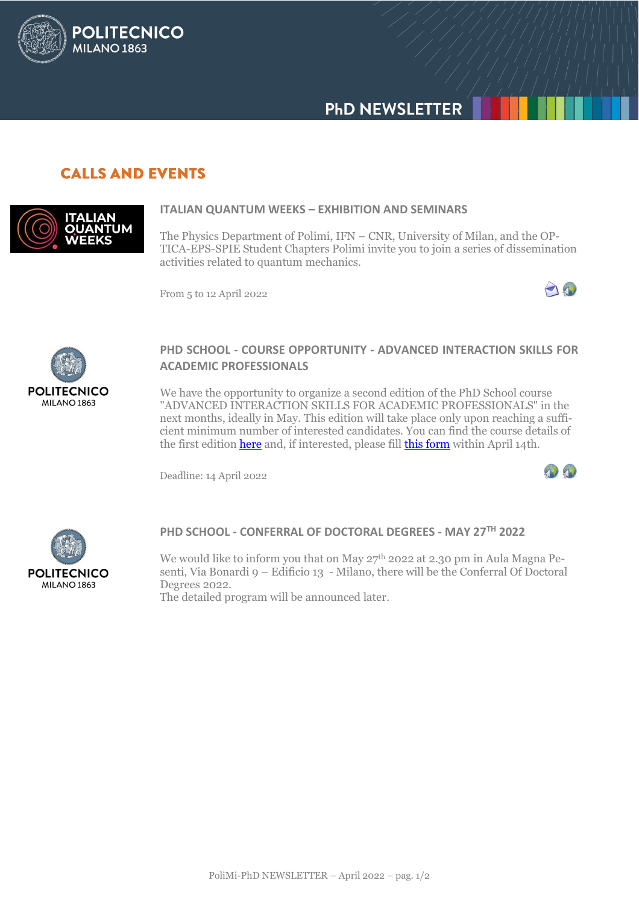

## **CALLS AND EVENTS**

**POLITECNICO** 

**MILANO 1863** 



#### **ITALIAN QUANTUM WEEKS – EXHIBITION AND SEMINARS**

The Physics Department of Polimi, IFN – CNR, University of Milan, and the OP-TICA-EPS-SPIE Student Chapters Polimi invite you to join a series of dissemination activities related to quantum mechanics.

From 5 to 12 April 2022





#### **PHD SCHOOL - COURSE OPPORTUNITY - ADVANCED INTERACTION SKILLS FOR ACADEMIC PROFESSIONALS**

We have the opportunity to organize a second edition of the PhD School course "ADVANCED INTERACTION SKILLS FOR ACADEMIC PROFESSIONALS" in the next months, ideally in May. This edition will take place only upon reaching a sufficient minimum number of interested candidates. You can find the course details of the first edition [here](https://aunicalogin.polimi.it/aunicalogin/getservizio.xml?id_servizio=178&c_classe=769016) and, if interested, please fil[l this form](https://forms.office.com/r/DzsSWv6KGW) within April 14th.

Deadline: 14 April 2022





#### **PHD SCHOOL - CONFERRAL OF DOCTORAL DEGREES - MAY 27TH 2022**

We would like to inform you that on May 27<sup>th</sup> 2022 at 2.30 pm in Aula Magna Pesenti, Via Bonardi 9 – Edificio 13 - Milano, there will be the Conferral Of Doctoral Degrees 2022.

The detailed program will be announced later.